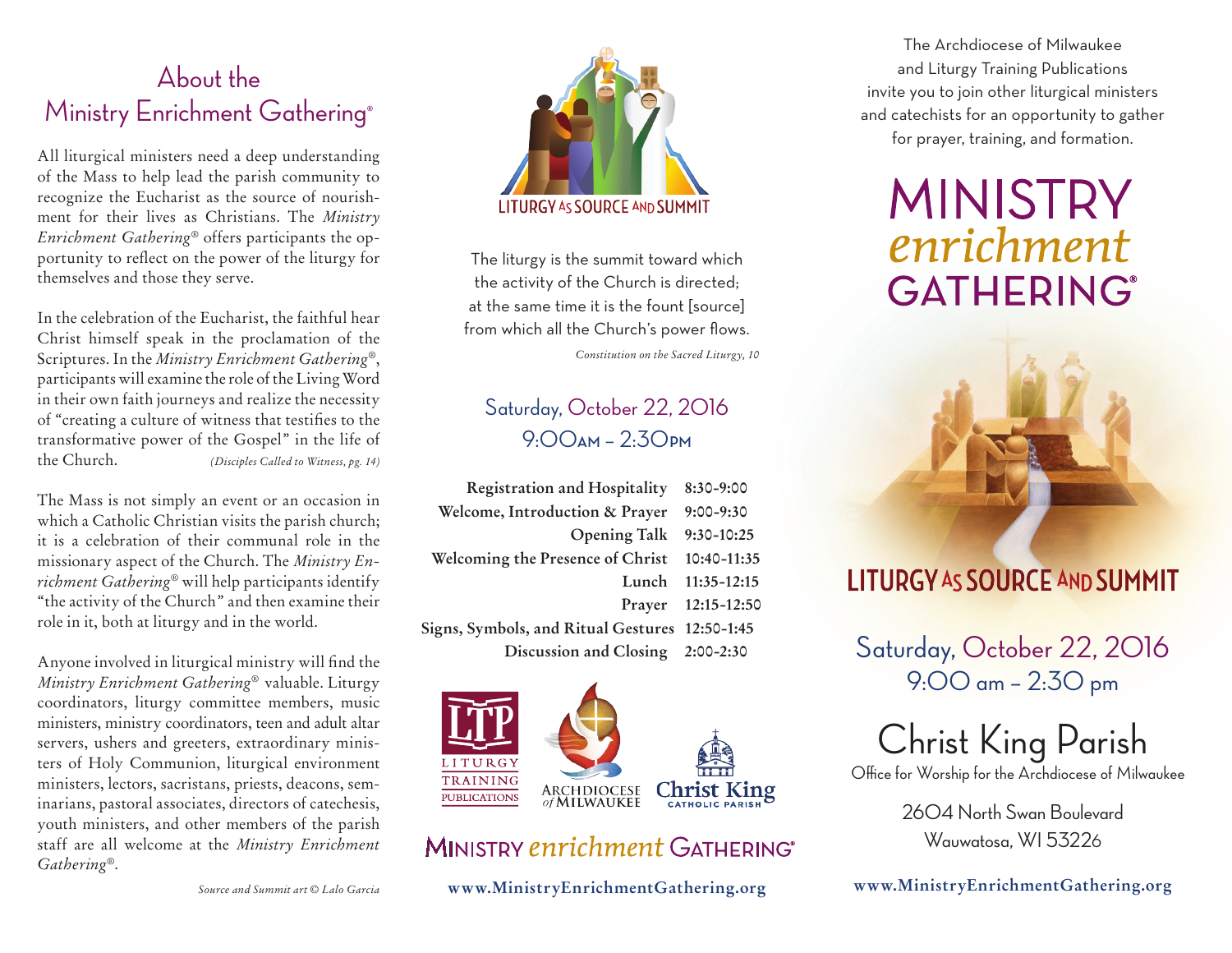## About the Ministry Enrichment Gathering®

All liturgical ministers need a deep understanding of the Mass to help lead the parish community to recognize the Eucharist as the source of nourishment for their lives as Christians. The *Ministry Enrichment Gathering*® offers participants the opportunity to reflect on the power of the liturgy for themselves and those they serve.

In the celebration of the Eucharist, the faithful hear Christ himself speak in the proclamation of the Scriptures. In the *Ministry Enrichment Gathering*®, participants will examine the role of the Living Word in their own faith journeys and realize the necessity of "creating a culture of witness that testifies to the transformative power of the Gospel" in the life of the Church. *(Disciples Called to Witness, pg. 14)*

The Mass is not simply an event or an occasion in which a Catholic Christian visits the parish church; it is a celebration of their communal role in the missionary aspect of the Church. The *Ministry Enrichment Gathering*® will help participants identify "the activity of the Church" and then examine their role in it, both at liturgy and in the world.

Anyone involved in liturgical ministry will find the *Ministry Enrichment Gathering*® valuable. Liturgy coordinators, liturgy committee members, music ministers, ministry coordinators, teen and adult altar servers, ushers and greeters, extraordinary ministers of Holy Communion, liturgical environment ministers, lectors, sacristans, priests, deacons, seminarians, pastoral associates, directors of catechesis, youth ministers, and other members of the parish staff are all welcome at the *Ministry Enrichment Gathering*®.



The liturgy is the summit toward which the activity of the Church is directed; at the same time it is the fount [source] from which all the Church's power flows.

*Constitution on the Sacred Liturgy, 10*

## Saturday, October 22, 2016 9:00**AM** – 2:30**PM**

| <b>Registration and Hospitality</b>            | $8:30-9:00$        |
|------------------------------------------------|--------------------|
| Welcome, Introduction & Prayer                 | $9:00 - 9:30$      |
| <b>Opening Talk</b>                            | 9:30-10:25         |
| Welcoming the Presence of Christ               | 10:40-11:35        |
| Lunch                                          | $11:35 - 12:15$    |
|                                                | Prayer 12:15-12:50 |
| Signs, Symbols, and Ritual Gestures 12:50-1:45 |                    |
| Discussion and Closing 2:00-2:30               |                    |



## MINISTRY enrichment GATHERING®

**www.MinistryEnrichmentGathering.org**

The Archdiocese of Milwaukee and Liturgy Training Publications invite you to join other liturgical ministers and catechists for an opportunity to gather for prayer, training, and formation.

# **MINISTRY** enrichment **GATHERING®**



# **LITURGY AS SOURCE AND SUMMIT**

Saturday, October 22, 2016 9:00 am – 2:30 pm

Christ King Parish Office for Worship for the Archdiocese of Milwaukee

2604 North Swan Boulevard Wauwatosa, WI 53226

**www.MinistryEnrichmentGathering.org**